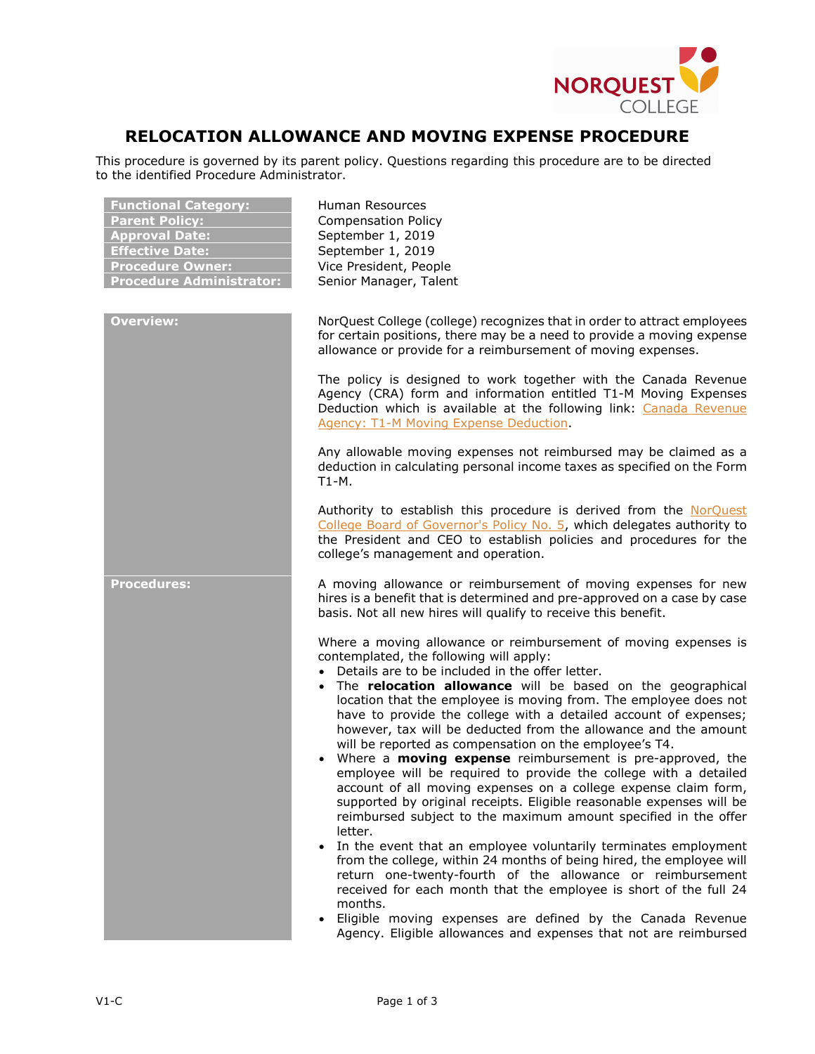

## **RELOCATION ALLOWANCE AND MOVING EXPENSE PROCEDURE**

This procedure is governed by its parent policy. Questions regarding this procedure are to be directed to the identified Procedure Administrator.

| <b>Functional Category:</b><br><b>Parent Policy:</b><br><b>Approval Date:</b><br><b>Effective Date:</b><br><b>Procedure Owner:</b><br><b>Procedure Administrator:</b> | <b>Human Resources</b><br><b>Compensation Policy</b><br>September 1, 2019<br>September 1, 2019<br>Vice President, People<br>Senior Manager, Talent                                                                                                                                                                                                                                                                                                                                                                                                                                                                                                                                                                                                                                                                                                                                                                                                                                                                                                                                                                                                                                                                                                                                                                           |
|-----------------------------------------------------------------------------------------------------------------------------------------------------------------------|------------------------------------------------------------------------------------------------------------------------------------------------------------------------------------------------------------------------------------------------------------------------------------------------------------------------------------------------------------------------------------------------------------------------------------------------------------------------------------------------------------------------------------------------------------------------------------------------------------------------------------------------------------------------------------------------------------------------------------------------------------------------------------------------------------------------------------------------------------------------------------------------------------------------------------------------------------------------------------------------------------------------------------------------------------------------------------------------------------------------------------------------------------------------------------------------------------------------------------------------------------------------------------------------------------------------------|
| <b>Overview:</b>                                                                                                                                                      | NorQuest College (college) recognizes that in order to attract employees<br>for certain positions, there may be a need to provide a moving expense<br>allowance or provide for a reimbursement of moving expenses.                                                                                                                                                                                                                                                                                                                                                                                                                                                                                                                                                                                                                                                                                                                                                                                                                                                                                                                                                                                                                                                                                                           |
|                                                                                                                                                                       | The policy is designed to work together with the Canada Revenue<br>Agency (CRA) form and information entitled T1-M Moving Expenses<br>Deduction which is available at the following link: Canada Revenue<br><b>Agency: T1-M Moving Expense Deduction</b>                                                                                                                                                                                                                                                                                                                                                                                                                                                                                                                                                                                                                                                                                                                                                                                                                                                                                                                                                                                                                                                                     |
|                                                                                                                                                                       | Any allowable moving expenses not reimbursed may be claimed as a<br>deduction in calculating personal income taxes as specified on the Form<br>T1-M.                                                                                                                                                                                                                                                                                                                                                                                                                                                                                                                                                                                                                                                                                                                                                                                                                                                                                                                                                                                                                                                                                                                                                                         |
|                                                                                                                                                                       | Authority to establish this procedure is derived from the NorQuest<br>College Board of Governor's Policy No. 5, which delegates authority to<br>the President and CEO to establish policies and procedures for the<br>college's management and operation.                                                                                                                                                                                                                                                                                                                                                                                                                                                                                                                                                                                                                                                                                                                                                                                                                                                                                                                                                                                                                                                                    |
| <b>Procedures:</b>                                                                                                                                                    | A moving allowance or reimbursement of moving expenses for new<br>hires is a benefit that is determined and pre-approved on a case by case<br>basis. Not all new hires will qualify to receive this benefit.                                                                                                                                                                                                                                                                                                                                                                                                                                                                                                                                                                                                                                                                                                                                                                                                                                                                                                                                                                                                                                                                                                                 |
|                                                                                                                                                                       | Where a moving allowance or reimbursement of moving expenses is<br>contemplated, the following will apply:<br>• Details are to be included in the offer letter.<br>• The relocation allowance will be based on the geographical<br>location that the employee is moving from. The employee does not<br>have to provide the college with a detailed account of expenses;<br>however, tax will be deducted from the allowance and the amount<br>will be reported as compensation on the employee's T4.<br>• Where a <b>moving expense</b> reimbursement is pre-approved, the<br>employee will be required to provide the college with a detailed<br>account of all moving expenses on a college expense claim form,<br>supported by original receipts. Eligible reasonable expenses will be<br>reimbursed subject to the maximum amount specified in the offer<br>letter.<br>In the event that an employee voluntarily terminates employment<br>$\bullet$<br>from the college, within 24 months of being hired, the employee will<br>return one-twenty-fourth of the allowance or reimbursement<br>received for each month that the employee is short of the full 24<br>months.<br>Eligible moving expenses are defined by the Canada Revenue<br>$\bullet$<br>Agency. Eligible allowances and expenses that not are reimbursed |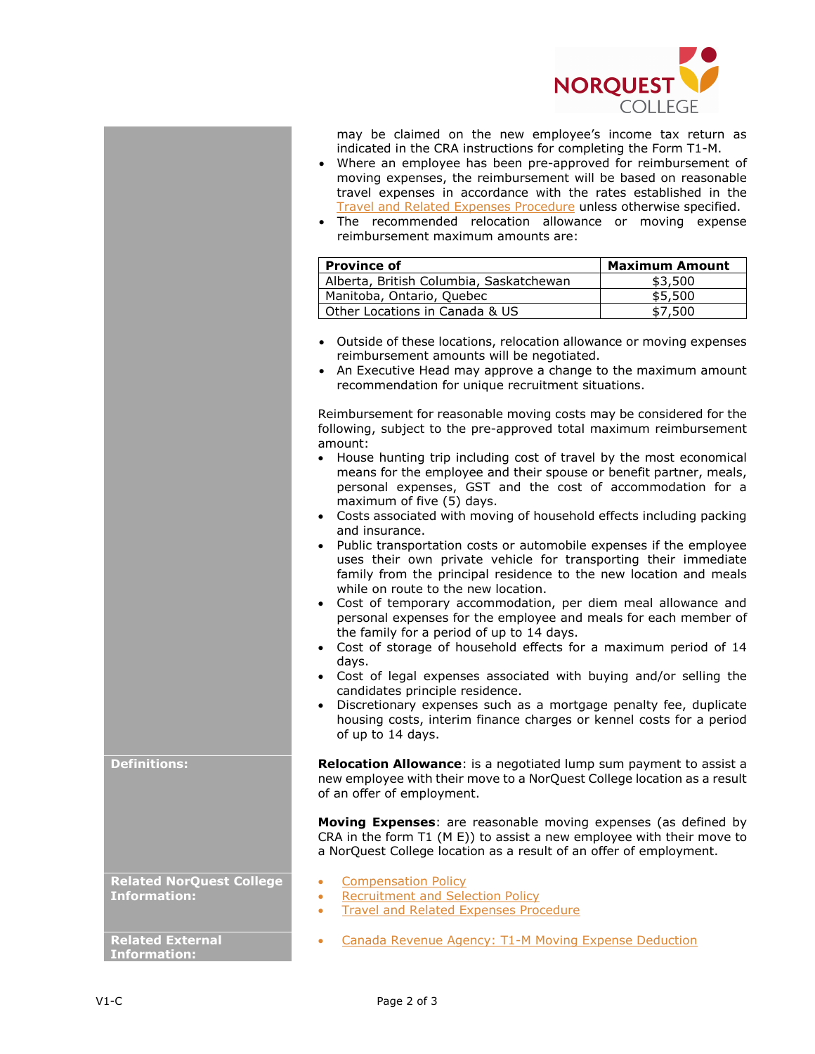

may be claimed on the new employee's income tax return as indicated in the CRA instructions for completing the Form T1-M.

- Where an employee has been pre-approved for reimbursement of moving expenses, the reimbursement will be based on reasonable travel expenses in accordance with the rates established in the [Travel and Related Expenses Procedure](http://www.norquest.ca/about-us/policies-procedures/finance/travel-and-business-expense-policy/travel-and-related-expenses-procedure.aspx) unless otherwise specified.
- The recommended relocation allowance or moving expense reimbursement maximum amounts are:

| <b>Province of</b>                      | <b>Maximum Amount</b> |
|-----------------------------------------|-----------------------|
| Alberta, British Columbia, Saskatchewan | \$3,500               |
| Manitoba, Ontario, Quebec               | \$5,500               |
| Other Locations in Canada & US          | \$7.500               |

- Outside of these locations, relocation allowance or moving expenses reimbursement amounts will be negotiated.
- An Executive Head may approve a change to the maximum amount recommendation for unique recruitment situations.

Reimbursement for reasonable moving costs may be considered for the following, subject to the pre-approved total maximum reimbursement amount:

- House hunting trip including cost of travel by the most economical means for the employee and their spouse or benefit partner, meals, personal expenses, GST and the cost of accommodation for a maximum of five (5) days.
- Costs associated with moving of household effects including packing and insurance.
- Public transportation costs or automobile expenses if the employee uses their own private vehicle for transporting their immediate family from the principal residence to the new location and meals while on route to the new location.
- Cost of temporary accommodation, per diem meal allowance and personal expenses for the employee and meals for each member of the family for a period of up to 14 days.
- Cost of storage of household effects for a maximum period of 14 days.
- Cost of legal expenses associated with buying and/or selling the candidates principle residence.
- Discretionary expenses such as a mortgage penalty fee, duplicate housing costs, interim finance charges or kennel costs for a period of up to 14 days.

**Definitions: Relocation Allowance**: is a negotiated lump sum payment to assist a new employee with their move to a NorQuest College location as a result of an offer of employment.

> **Moving Expenses**: are reasonable moving expenses (as defined by CRA in the form T1 (M E)) to assist a new employee with their move to a NorQuest College location as a result of an offer of employment.

**Related NorQuest College Information:**

**Related External Information:**

- [Compensation Policy](http://www.norquest.ca/about-us/policies-procedures/human-resources/compensation-policy.aspx)
- [Recruitment and Selection Policy](http://www.norquest.ca/about-us/policies-procedures/human-resources/recruitment-and-selection-policy.aspx)
- [Travel and Related Expenses Procedure](http://www.norquest.ca/about-us/policies-procedures/finance/travel-and-business-expense-policy/travel-and-related-expenses-procedure.aspx)
- [Canada Revenue Agency: T1-M Moving Expense Deduction](http://www.cra-arc.gc.ca/E/pbg/tf/t1-m/README.html)